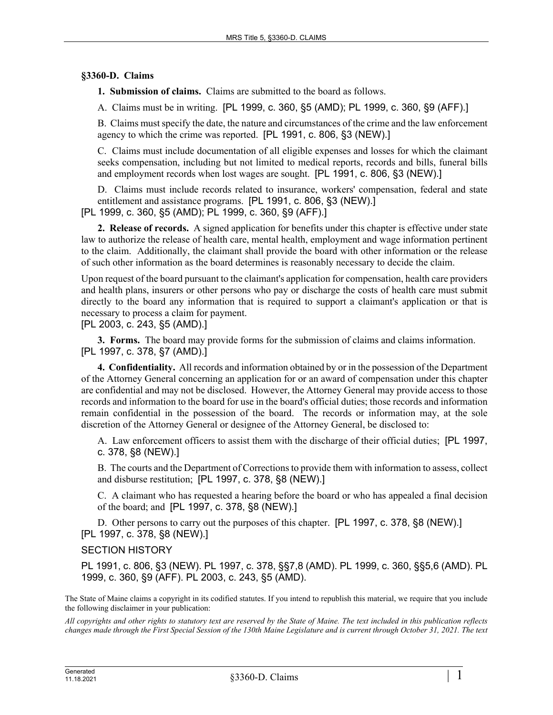## **§3360-D. Claims**

**1. Submission of claims.** Claims are submitted to the board as follows.

A. Claims must be in writing. [PL 1999, c. 360, §5 (AMD); PL 1999, c. 360, §9 (AFF).]

B. Claims must specify the date, the nature and circumstances of the crime and the law enforcement agency to which the crime was reported. [PL 1991, c. 806, §3 (NEW).]

C. Claims must include documentation of all eligible expenses and losses for which the claimant seeks compensation, including but not limited to medical reports, records and bills, funeral bills and employment records when lost wages are sought. [PL 1991, c. 806, §3 (NEW).]

D. Claims must include records related to insurance, workers' compensation, federal and state entitlement and assistance programs. [PL 1991, c. 806, §3 (NEW).] [PL 1999, c. 360, §5 (AMD); PL 1999, c. 360, §9 (AFF).]

**2. Release of records.** A signed application for benefits under this chapter is effective under state law to authorize the release of health care, mental health, employment and wage information pertinent to the claim. Additionally, the claimant shall provide the board with other information or the release of such other information as the board determines is reasonably necessary to decide the claim.

Upon request of the board pursuant to the claimant's application for compensation, health care providers and health plans, insurers or other persons who pay or discharge the costs of health care must submit directly to the board any information that is required to support a claimant's application or that is necessary to process a claim for payment.

[PL 2003, c. 243, §5 (AMD).]

**3. Forms.** The board may provide forms for the submission of claims and claims information. [PL 1997, c. 378, §7 (AMD).]

**4. Confidentiality.** All records and information obtained by or in the possession of the Department of the Attorney General concerning an application for or an award of compensation under this chapter are confidential and may not be disclosed. However, the Attorney General may provide access to those records and information to the board for use in the board's official duties; those records and information remain confidential in the possession of the board. The records or information may, at the sole discretion of the Attorney General or designee of the Attorney General, be disclosed to:

A. Law enforcement officers to assist them with the discharge of their official duties; [PL 1997, c. 378, §8 (NEW).]

B. The courts and the Department of Corrections to provide them with information to assess, collect and disburse restitution; [PL 1997, c. 378, §8 (NEW).]

C. A claimant who has requested a hearing before the board or who has appealed a final decision of the board; and [PL 1997, c. 378, §8 (NEW).]

D. Other persons to carry out the purposes of this chapter. [PL 1997, c. 378, §8 (NEW).] [PL 1997, c. 378, §8 (NEW).]

## SECTION HISTORY

PL 1991, c. 806, §3 (NEW). PL 1997, c. 378, §§7,8 (AMD). PL 1999, c. 360, §§5,6 (AMD). PL 1999, c. 360, §9 (AFF). PL 2003, c. 243, §5 (AMD).

The State of Maine claims a copyright in its codified statutes. If you intend to republish this material, we require that you include the following disclaimer in your publication:

*All copyrights and other rights to statutory text are reserved by the State of Maine. The text included in this publication reflects changes made through the First Special Session of the 130th Maine Legislature and is current through October 31, 2021. The text*